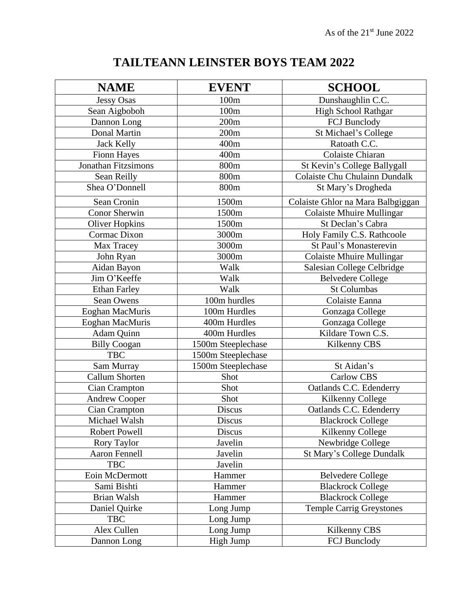## **TAILTEANN LEINSTER BOYS TEAM 2022**

| <b>NAME</b>                | <b>EVENT</b>       | <b>SCHOOL</b>                        |
|----------------------------|--------------------|--------------------------------------|
| <b>Jessy Osas</b>          | 100m               | Dunshaughlin C.C.                    |
| Sean Aigboboh              | 100m               | <b>High School Rathgar</b>           |
| Dannon Long                | 200m               | FCJ Bunclody                         |
| <b>Donal Martin</b>        | 200m               | St Michael's College                 |
| <b>Jack Kelly</b>          | 400m               | Ratoath C.C.                         |
| <b>Fionn Hayes</b>         | 400m               | Colaiste Chiaran                     |
| <b>Jonathan Fitzsimons</b> | 800m               | St Kevin's College Ballygall         |
| Sean Reilly                | 800m               | <b>Colaiste Chu Chulainn Dundalk</b> |
| Shea O'Donnell             | 800m               | St Mary's Drogheda                   |
| Sean Cronin                | 1500m              | Colaiste Ghlor na Mara Balbgiggan    |
| <b>Conor Sherwin</b>       | 1500m              | <b>Colaiste Mhuire Mullingar</b>     |
| <b>Oliver Hopkins</b>      | 1500m              | St Declan's Cabra                    |
| Cormac Dixon               | 3000m              | Holy Family C.S. Rathcoole           |
| Max Tracey                 | 3000m              | St Paul's Monasterevin               |
| John Ryan                  | 3000m              | <b>Colaiste Mhuire Mullingar</b>     |
| Aidan Bayon                | Walk               | Salesian College Celbridge           |
| Jim O'Keeffe               | Walk               | <b>Belvedere College</b>             |
| <b>Ethan Farley</b>        | Walk               | <b>St Columbas</b>                   |
| Sean Owens                 | 100m hurdles       | Colaiste Eanna                       |
| Eoghan MacMuris            | 100m Hurdles       | Gonzaga College                      |
| Eoghan MacMuris            | 400m Hurdles       | Gonzaga College                      |
| Adam Quinn                 | 400m Hurdles       | Kildare Town C.S.                    |
| <b>Billy Coogan</b>        | 1500m Steeplechase | Kilkenny CBS                         |
| <b>TBC</b>                 | 1500m Steeplechase |                                      |
| Sam Murray                 | 1500m Steeplechase | St Aidan's                           |
| <b>Callum Shorten</b>      | Shot               | <b>Carlow CBS</b>                    |
| Cian Crampton              | Shot               | Oatlands C.C. Edenderry              |
| <b>Andrew Cooper</b>       | Shot               | Kilkenny College                     |
| Cian Crampton              | <b>Discus</b>      | Oatlands C.C. Edenderry              |
| Michael Walsh              | Discus             | <b>Blackrock College</b>             |
| <b>Robert Powell</b>       | Discus             | Kilkenny College                     |
| Rory Taylor                | Javelin            | Newbridge College                    |
| <b>Aaron Fennell</b>       | Javelin            | St Mary's College Dundalk            |
| <b>TBC</b>                 | Javelin            |                                      |
| Eoin McDermott             | Hammer             | <b>Belvedere College</b>             |
| Sami Bishti                | Hammer             | <b>Blackrock College</b>             |
| Brian Walsh                | Hammer             | <b>Blackrock College</b>             |
| Daniel Quirke              | Long Jump          | <b>Temple Carrig Greystones</b>      |
| <b>TBC</b>                 | Long Jump          |                                      |
| Alex Cullen                | Long Jump          | Kilkenny CBS                         |
| Dannon Long                | High Jump          | FCJ Bunclody                         |